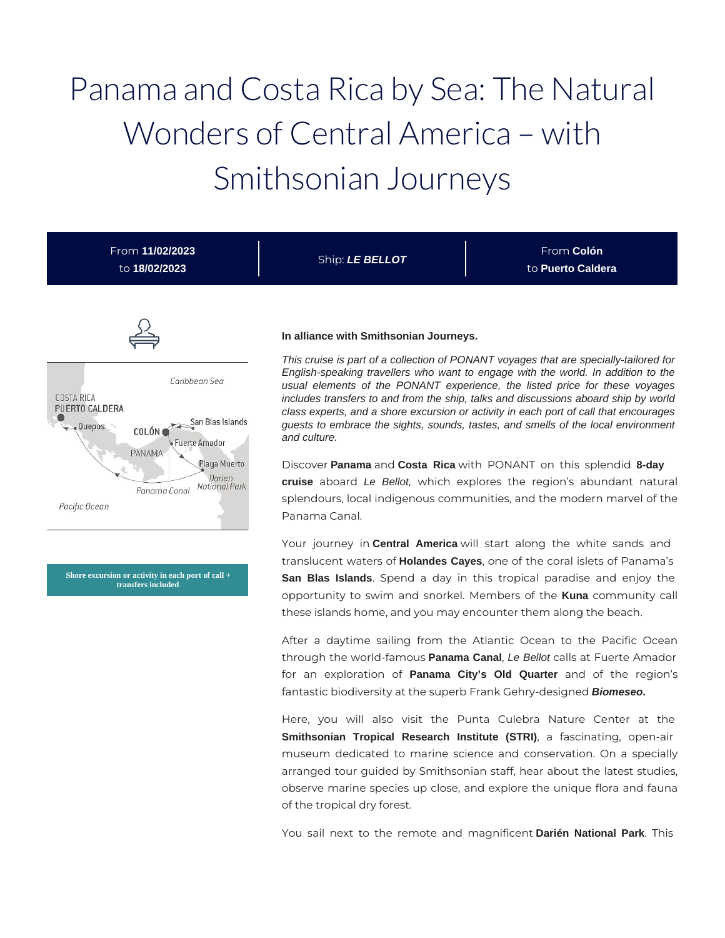# Panama and Costa Rica by Sea: The Natural Wonders of Central America – with Smithsonian Journeys

| From 11/02/2023<br>to 18/02/2023                                                                                                                                                                              | Ship: LE BELLOT                                                         | From Colón<br>to Puerto Caldera                                                                                                                                                                                                                                                                                                                                                                                                                                                                                                                                                                                                                                                                                                                        |
|---------------------------------------------------------------------------------------------------------------------------------------------------------------------------------------------------------------|-------------------------------------------------------------------------|--------------------------------------------------------------------------------------------------------------------------------------------------------------------------------------------------------------------------------------------------------------------------------------------------------------------------------------------------------------------------------------------------------------------------------------------------------------------------------------------------------------------------------------------------------------------------------------------------------------------------------------------------------------------------------------------------------------------------------------------------------|
| Caribbean Sea<br><b>COSTA RICA</b><br><b>PUERTO CALDERA</b><br>San Blas Islands<br>· Quepos<br>COLÓN C<br>Fuerte Amador<br>PANAMA<br>Playa Muerto<br>Darien<br>National Park<br>Panama Canal<br>Pacific Ocean | In alliance with Smithsonian Journeys.<br>and culture.<br>Panama Canal. | This cruise is part of a collection of PONANT voyages that are specially-tailored for<br>English-speaking travellers who want to engage with the world. In addition to the<br>usual elements of the PONANT experience, the listed price for these voyages<br>includes transfers to and from the ship, talks and discussions aboard ship by world<br>class experts, and a shore excursion or activity in each port of call that encourages<br>guests to embrace the sights, sounds, tastes, and smells of the local environment<br>Discover Panama and Costa Rica with PONANT on this splendid 8-day<br>cruise aboard Le Bellot, which explores the region's abundant natural<br>splendours, local indigenous communities, and the modern marvel of the |

**Shore excursion or activity in each port of call + transfers included**

Your journey in **Central America** will start along the white sands and translucent waters of **Holandes Cayes**, one of the coral islets of Panama's **San Blas Islands**. Spend a day in this tropical paradise and enjoy the opportunity to swim and snorkel. Members of the **Kuna** community call these islands home, and you may encounter them along the beach.

After a daytime sailing from the Atlantic Ocean to the Pacific Ocean through the world-famous **Panama Canal**, Le Bellot calls at Fuerte Amador for an exploration of **Panama City's Old Quarter** and of the region's fantastic biodiversity at the superb Frank Gehry-designed **Biomeseo.**

Here, you will also visit the Punta Culebra Nature Center at the **Smithsonian Tropical Research Institute (STRI)**, a fascinating, open-air museum dedicated to marine science and conservation. On a specially arranged tour guided by Smithsonian staff, hear about the latest studies, observe marine species up close, and explore the unique flora and fauna of the tropical dry forest.

You sail next to the remote and magnificent **Darién National Park**. This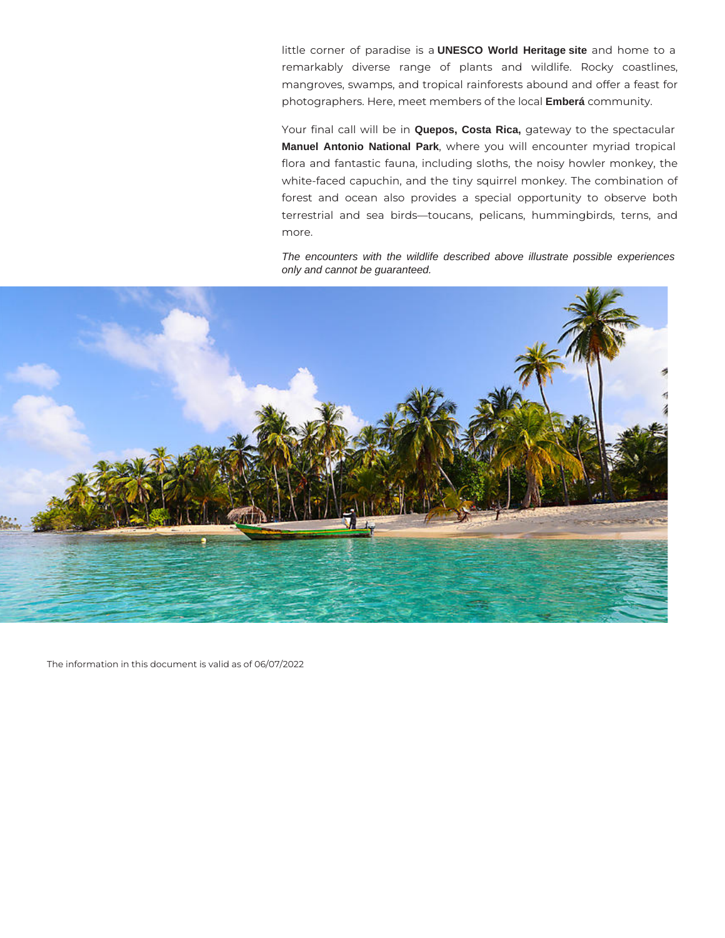little corner of paradise is a **UNESCO World Heritage site** and home to a remarkably diverse range of plants and wildlife. Rocky coastlines, mangroves, swamps, and tropical rainforests abound and offer a feast for photographers. Here, meet members of the local **Emberá** community.

Your final call will be in **Quepos, Costa Rica,** gateway to the spectacular **Manuel Antonio National Park**, where you will encounter myriad tropical flora and fantastic fauna, including sloths, the noisy howler monkey, the white-faced capuchin, and the tiny squirrel monkey. The combination of forest and ocean also provides a special opportunity to observe both terrestrial and sea birds—toucans, pelicans, hummingbirds, terns, and more.

The encounters with the wildlife described above illustrate possible experiences only and cannot be guaranteed.



The information in this document is valid as of 06/07/2022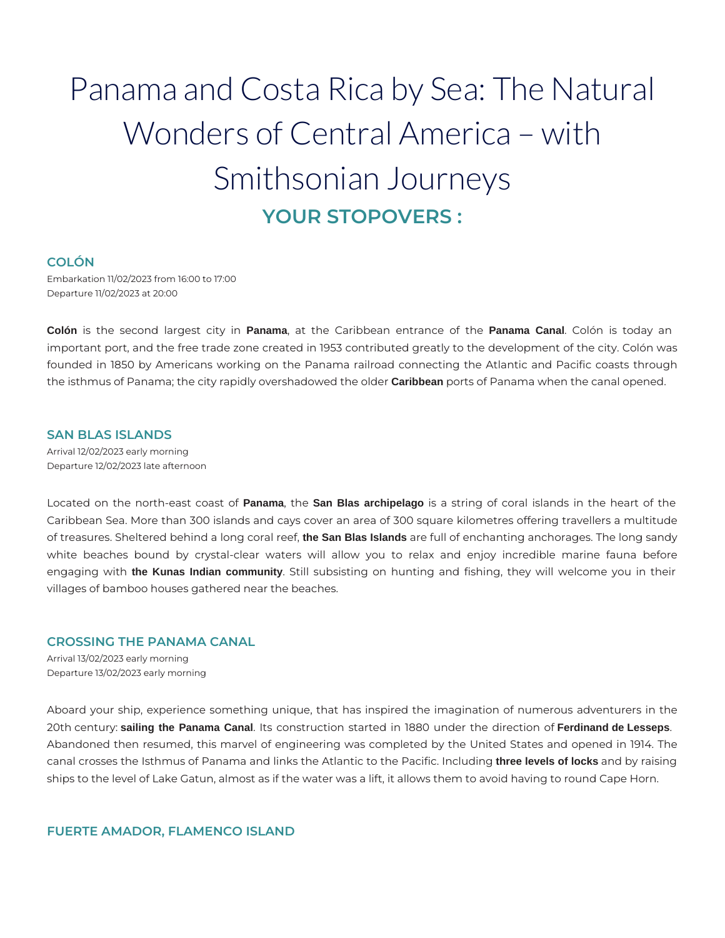# Panama and Costa Rica by Sea: The Natural Wonders of Central America – with Smithsonian Journeys **YOUR STOPOVERS :**

# **COLÓN**

Embarkation 11/02/2023 from 16:00 to 17:00 Departure 11/02/2023 at 20:00

**Colón** is the second largest city in **Panama**, at the Caribbean entrance of the **Panama Canal**. Colón is today an important port, and the free trade zone created in 1953 contributed greatly to the development of the city. Colón was founded in 1850 by Americans working on the Panama railroad connecting the Atlantic and Pacific coasts through the isthmus of Panama; the city rapidly overshadowed the older **Caribbean** ports of Panama when the canal opened.

# **SAN BLAS ISLANDS**

Arrival 12/02/2023 early morning Departure 12/02/2023 late afternoon

Located on the north-east coast of **Panama**, the **San Blas archipelago** is a string of coral islands in the heart of the Caribbean Sea. More than 300 islands and cays cover an area of 300 square kilometres offering travellers a multitude of treasures. Sheltered behind a long coral reef, **the San Blas Islands** are full of enchanting anchorages. The long sandy white beaches bound by crystal-clear waters will allow you to relax and enjoy incredible marine fauna before engaging with **the Kunas Indian community**. Still subsisting on hunting and fishing, they will welcome you in their villages of bamboo houses gathered near the beaches.

#### **CROSSING THE PANAMA CANAL**

Arrival 13/02/2023 early morning Departure 13/02/2023 early morning

Aboard your ship, experience something unique, that has inspired the imagination of numerous adventurers in the 20th century: **sailing the Panama Canal**. Its construction started in 1880 under the direction of **Ferdinand de Lesseps**. Abandoned then resumed, this marvel of engineering was completed by the United States and opened in 1914. The canal crosses the Isthmus of Panama and links the Atlantic to the Pacific. Including **three levels of locks** and by raising ships to the level of Lake Gatun, almost as if the water was a lift, it allows them to avoid having to round Cape Horn.

**FUERTE AMADOR, FLAMENCO ISLAND**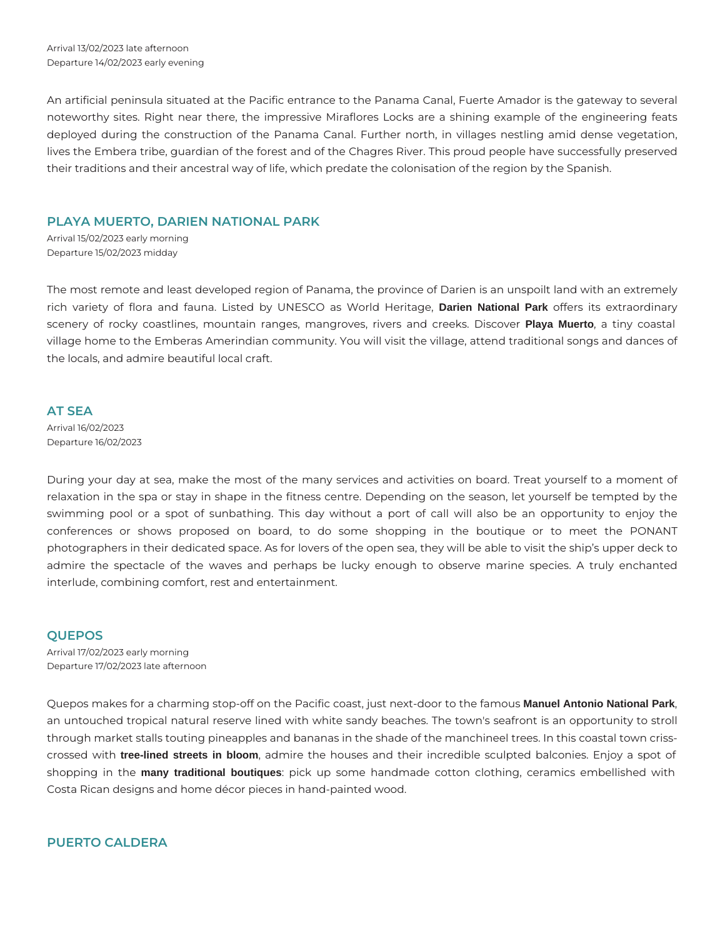An artificial peninsula situated at the Pacific entrance to the Panama Canal, Fuerte Amador is the gateway to several noteworthy sites. Right near there, the impressive Miraflores Locks are a shining example of the engineering feats deployed during the construction of the Panama Canal. Further north, in villages nestling amid dense vegetation, lives the Embera tribe, guardian of the forest and of the Chagres River. This proud people have successfully preserved their traditions and their ancestral way of life, which predate the colonisation of the region by the Spanish.

## **PLAYA MUERTO, DARIEN NATIONAL PARK**

Arrival 15/02/2023 early morning Departure 15/02/2023 midday

The most remote and least developed region of Panama, the province of Darien is an unspoilt land with an extremely rich variety of flora and fauna. Listed by UNESCO as World Heritage, **Darien National Park** offers its extraordinary scenery of rocky coastlines, mountain ranges, mangroves, rivers and creeks. Discover **Playa Muerto**, a tiny coastal village home to the Emberas Amerindian community. You will visit the village, attend traditional songs and dances of the locals, and admire beautiful local craft.

#### **AT SEA**

Arrival 16/02/2023 Departure 16/02/2023

During your day at sea, make the most of the many services and activities on board. Treat yourself to a moment of relaxation in the spa or stay in shape in the fitness centre. Depending on the season, let yourself be tempted by the swimming pool or a spot of sunbathing. This day without a port of call will also be an opportunity to enjoy the conferences or shows proposed on board, to do some shopping in the boutique or to meet the PONANT photographers in their dedicated space. As for lovers of the open sea, they will be able to visit the ship's upper deck to admire the spectacle of the waves and perhaps be lucky enough to observe marine species. A truly enchanted interlude, combining comfort, rest and entertainment.

# **QUEPOS**

Arrival 17/02/2023 early morning Departure 17/02/2023 late afternoon

Quepos makes for a charming stop-off on the Pacific coast, just next-door to the famous **Manuel Antonio National Park**, an untouched tropical natural reserve lined with white sandy beaches. The town's seafront is an opportunity to stroll through market stalls touting pineapples and bananas in the shade of the manchineel trees. In this coastal town crisscrossed with **tree-lined streets in bloom**, admire the houses and their incredible sculpted balconies. Enjoy a spot of shopping in the **many traditional boutiques**: pick up some handmade cotton clothing, ceramics embellished with Costa Rican designs and home décor pieces in hand-painted wood.

# **PUERTO CALDERA**